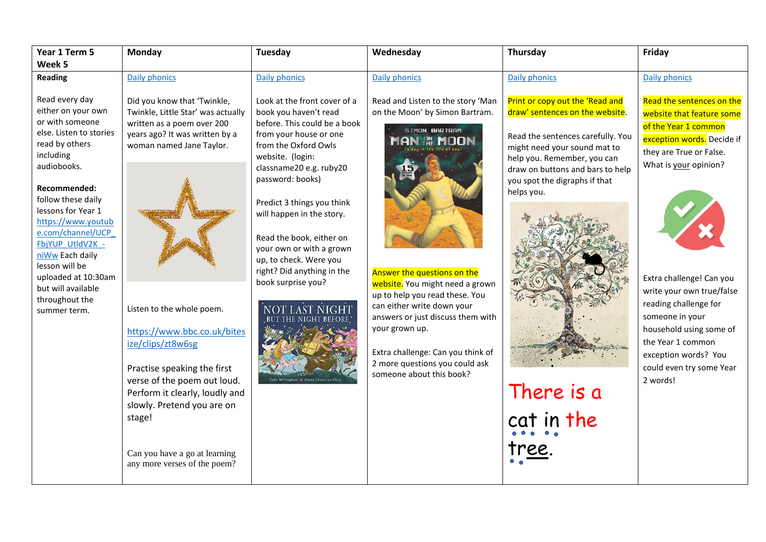| Year 1 Term 5                                                                                                                                                                                                                                                                                                                                                                   | Monday                                                                                                                                                                                                                                                                                                                                                                                                                                                  | <b>Tuesday</b>                                                                                                                                                                                                                                                                                                                                                                                              | Wednesday                                                                                                                                                                                                                                                                                                                                                                                            | Thursday                                                                                                                                                                                                                                                                              | Friday                                                                                                                                                                                                                                                                                                                                                                                |
|---------------------------------------------------------------------------------------------------------------------------------------------------------------------------------------------------------------------------------------------------------------------------------------------------------------------------------------------------------------------------------|---------------------------------------------------------------------------------------------------------------------------------------------------------------------------------------------------------------------------------------------------------------------------------------------------------------------------------------------------------------------------------------------------------------------------------------------------------|-------------------------------------------------------------------------------------------------------------------------------------------------------------------------------------------------------------------------------------------------------------------------------------------------------------------------------------------------------------------------------------------------------------|------------------------------------------------------------------------------------------------------------------------------------------------------------------------------------------------------------------------------------------------------------------------------------------------------------------------------------------------------------------------------------------------------|---------------------------------------------------------------------------------------------------------------------------------------------------------------------------------------------------------------------------------------------------------------------------------------|---------------------------------------------------------------------------------------------------------------------------------------------------------------------------------------------------------------------------------------------------------------------------------------------------------------------------------------------------------------------------------------|
| Week 5                                                                                                                                                                                                                                                                                                                                                                          |                                                                                                                                                                                                                                                                                                                                                                                                                                                         |                                                                                                                                                                                                                                                                                                                                                                                                             |                                                                                                                                                                                                                                                                                                                                                                                                      |                                                                                                                                                                                                                                                                                       |                                                                                                                                                                                                                                                                                                                                                                                       |
| <b>Reading</b>                                                                                                                                                                                                                                                                                                                                                                  | Daily phonics                                                                                                                                                                                                                                                                                                                                                                                                                                           | Daily phonics                                                                                                                                                                                                                                                                                                                                                                                               | Daily phonics                                                                                                                                                                                                                                                                                                                                                                                        | <b>Daily phonics</b>                                                                                                                                                                                                                                                                  | Daily phonics                                                                                                                                                                                                                                                                                                                                                                         |
| Read every day<br>either on your own<br>or with someone<br>else. Listen to stories<br>read by others<br>including<br>audiobooks.<br>Recommended:<br>follow these daily<br>lessons for Year 1<br>https://www.youtub<br>e.com/channel/UCP<br>FbjYUP UtldV2K -<br>niWw Each daily<br>lesson will be<br>uploaded at 10:30am<br>but will available<br>throughout the<br>summer term. | Did you know that 'Twinkle,<br>Twinkle, Little Star' was actually<br>written as a poem over 200<br>years ago? It was written by a<br>woman named Jane Taylor.<br>Listen to the whole poem.<br>https://www.bbc.co.uk/bites<br>ize/clips/zt8w6sg<br>Practise speaking the first<br>verse of the poem out loud.<br>Perform it clearly, loudly and<br>slowly. Pretend you are on<br>stage!<br>Can you have a go at learning<br>any more verses of the poem? | Look at the front cover of a<br>book you haven't read<br>before. This could be a book<br>from your house or one<br>from the Oxford Owls<br>website. (login:<br>classname20 e.g. ruby20<br>password: books)<br>Predict 3 things you think<br>will happen in the story.<br>Read the book, either on<br>your own or with a grown<br>up, to check. Were you<br>right? Did anything in the<br>book surprise you? | Read and Listen to the story 'Man<br>on the Moon' by Simon Bartram.<br>SIMON BARTRAM<br><b>N AL MOON</b><br>Answer the questions on the<br>website. You might need a grown<br>up to help you read these. You<br>can either write down your<br>answers or just discuss them with<br>your grown up.<br>Extra challenge: Can you think of<br>2 more questions you could ask<br>someone about this book? | Print or copy out the 'Read and<br>draw' sentences on the website.<br>Read the sentences carefully. You<br>might need your sound mat to<br>help you. Remember, you can<br>draw on buttons and bars to help<br>you spot the digraphs if that<br>helps you.<br>There is a<br>cat in the | Read the sentences on the<br>website that feature some<br>of the Year 1 common<br>exception words. Decide if<br>they are True or False.<br>What is your opinion?<br>Extra challenge! Can you<br>write your own true/false<br>reading challenge for<br>someone in your<br>household using some of<br>the Year 1 common<br>exception words? You<br>could even try some Year<br>2 words! |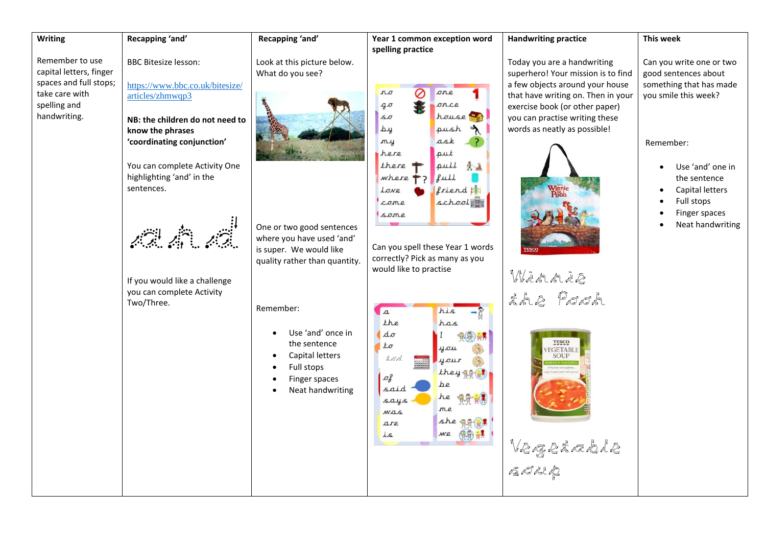| Remember to use<br><b>BBC Bitesize lesson:</b><br>Look at this picture below.<br>Today you are a handwriting<br>capital letters, finger<br>superhero! Your mission is to find<br>What do you see?<br>good sentences about<br>spaces and full stops;<br>a few objects around your house<br>https://www.bbc.co.uk/bitesize/<br>$n, \sigma$<br>⊘<br>one<br>take care with<br>articles/zhmwqp3<br>that have writing on. Then in your<br>you smile this week?<br>once<br>spelling and<br>90<br>exercise book (or other paper)<br>handwriting.<br>house<br>Sσ<br>you can practise writing these<br>NB: the children do not need to<br>$\Delta y$<br>words as neatly as possible!<br>push<br>know the phrases<br>m <sub>4</sub><br>ask<br>'coordinating conjunction'<br>Remember:<br>here<br>put<br>there<br>pull<br>大山<br>You can complete Activity One<br>highlighting 'and' in the<br>full<br>$where 7$<br>the sentence<br>sentences.<br>friend <b>in</b><br>Capital letters<br>Love<br>school<br>Full stops<br>come<br>Finger spaces<br>$S$ one<br>$\bullet$<br>One or two good sentences<br>where you have used 'and'<br>Can you spell these Year 1 words<br>is super. We would like<br>correctly? Pick as many as you<br>quality rather than quantity.<br>would like to practise<br>Winnie<br>If you would like a challenge<br>the Pook<br>you can complete Activity<br>Two/Three.<br>Remember:<br>his<br>$\mathfrak{a}$<br>the<br>has<br>Use 'and' once in<br>$d\sigma$<br>$\bullet$<br>TESCO<br>the sentence<br>$t\sigma$<br>$4\pi$ | <b>Writing</b> | Recapping 'and' | Recapping 'and' | Year 1 common exception word | <b>Handwriting practice</b> | This week                                                                                   |
|--------------------------------------------------------------------------------------------------------------------------------------------------------------------------------------------------------------------------------------------------------------------------------------------------------------------------------------------------------------------------------------------------------------------------------------------------------------------------------------------------------------------------------------------------------------------------------------------------------------------------------------------------------------------------------------------------------------------------------------------------------------------------------------------------------------------------------------------------------------------------------------------------------------------------------------------------------------------------------------------------------------------------------------------------------------------------------------------------------------------------------------------------------------------------------------------------------------------------------------------------------------------------------------------------------------------------------------------------------------------------------------------------------------------------------------------------------------------------------------------------------------------------------------|----------------|-----------------|-----------------|------------------------------|-----------------------------|---------------------------------------------------------------------------------------------|
| $\bullet$<br>えべべ<br>your<br>Full stops<br>$\bullet$<br>they 需要<br>$\sigma f$<br>Finger spaces<br>$\bullet$<br>be<br>said<br>Neat handwriting<br>$\bullet$<br>he<br>says<br>mc<br>WAS<br>she 保守(員)<br>are<br>we 保易<br>$\frac{1}{2}$                                                                                                                                                                                                                                                                                                                                                                                                                                                                                                                                                                                                                                                                                                                                                                                                                                                                                                                                                                                                                                                                                                                                                                                                                                                                                                   |                |                 | Capital letters | spelling practice            | <b>VEGETABLE</b><br>SOUP    | Can you write one or two<br>something that has made<br>Use 'and' one in<br>Neat handwriting |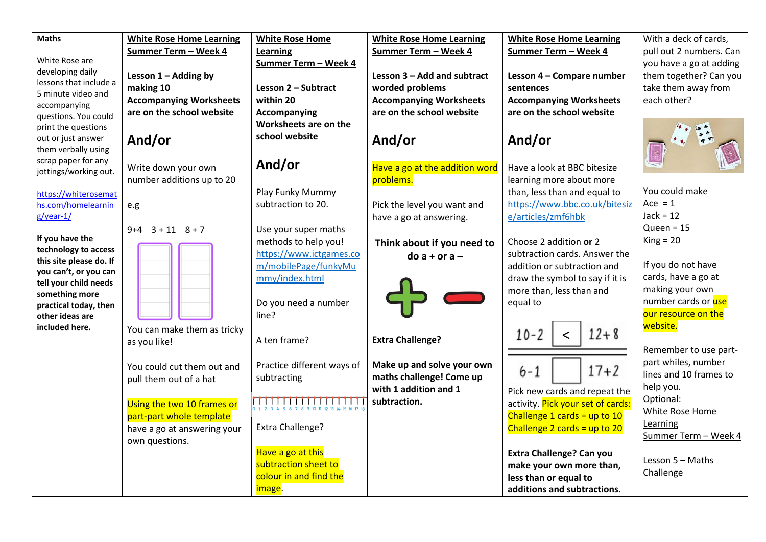| <b>Maths</b>                               | <b>White Rose Home Learning</b> | <b>White Rose Home</b>           | <b>White Rose Home Learning</b> | <b>White Rose Home Learning</b>   | With a deck of cards,   |
|--------------------------------------------|---------------------------------|----------------------------------|---------------------------------|-----------------------------------|-------------------------|
|                                            | Summer Term - Week 4            | Learning                         | Summer Term - Week 4            | Summer Term - Week 4              | pull out 2 numbers. Can |
| White Rose are                             |                                 | Summer Term - Week 4             |                                 |                                   | you have a go at adding |
| developing daily<br>lessons that include a | Lesson $1 -$ Adding by          |                                  | Lesson 3 - Add and subtract     | Lesson 4 - Compare number         | them together? Can you  |
| 5 minute video and                         | making 10                       | Lesson 2 - Subtract              | worded problems                 | sentences                         | take them away from     |
| accompanying                               | <b>Accompanying Worksheets</b>  | within 20                        | <b>Accompanying Worksheets</b>  | <b>Accompanying Worksheets</b>    | each other?             |
| questions. You could                       | are on the school website       | Accompanying                     | are on the school website       | are on the school website         |                         |
| print the questions                        |                                 | Worksheets are on the            |                                 |                                   |                         |
| out or just answer                         | And/or                          | school website                   | And/or                          | And/or                            |                         |
| them verbally using                        |                                 |                                  |                                 |                                   |                         |
| scrap paper for any                        | Write down your own             | And/or                           | Have a go at the addition word  | Have a look at BBC bitesize       |                         |
| jottings/working out.                      | number additions up to 20       |                                  | problems.                       | learning more about more          |                         |
| https://whiterosemat                       |                                 | Play Funky Mummy                 |                                 | than, less than and equal to      | You could make          |
| hs.com/homelearnin                         | e.g                             | subtraction to 20.               | Pick the level you want and     | https://www.bbc.co.uk/bitesiz     | Ace = $1$               |
| $g$ /year-1/                               |                                 |                                  | have a go at answering.         | e/articles/zmf6hbk                | $Jack = 12$             |
|                                            | $9+4$ $3+11$ $8+7$              | Use your super maths             |                                 |                                   | Oueen = $15$            |
| If you have the                            |                                 | methods to help you!             | Think about if you need to      | Choose 2 addition or 2            | $King = 20$             |
| technology to access                       |                                 | https://www.ictgames.co          | $do$ a + or a -                 | subtraction cards. Answer the     |                         |
| this site please do. If                    |                                 | m/mobilePage/funkyMu             |                                 | addition or subtraction and       | If you do not have      |
| you can't, or you can                      |                                 | mmy/index.html                   |                                 | draw the symbol to say if it is   | cards, have a go at     |
| tell your child needs                      |                                 |                                  |                                 | more than, less than and          | making your own         |
| something more<br>practical today, then    |                                 | Do you need a number             |                                 | equal to                          | number cards or use     |
| other ideas are                            |                                 | line?                            |                                 |                                   | our resource on the     |
| included here.                             | You can make them as tricky     |                                  |                                 |                                   | website.                |
|                                            | as you like!                    | A ten frame?                     | <b>Extra Challenge?</b>         | $12 + 8$<br>$10 - 2$              |                         |
|                                            |                                 |                                  |                                 |                                   | Remember to use part-   |
|                                            | You could cut them out and      | Practice different ways of       | Make up and solve your own      |                                   | part whiles, number     |
|                                            | pull them out of a hat          | subtracting                      | maths challenge! Come up        | $17 + 2$<br>$6 - 1$               | lines and 10 frames to  |
|                                            |                                 |                                  | with 1 addition and 1           | Pick new cards and repeat the     | help you.               |
|                                            | Using the two 10 frames or      | <del>,,,,,,,,,,,,,,,,,,,,,</del> | subtraction.                    | activity. Pick your set of cards: | Optional:               |
|                                            | part-part whole template        |                                  |                                 | Challenge 1 cards = up to $10$    | White Rose Home         |
|                                            | have a go at answering your     | Extra Challenge?                 |                                 | Challenge 2 cards = up to 20      | Learning                |
|                                            | own questions.                  |                                  |                                 |                                   | Summer Term - Week 4    |
|                                            |                                 | Have a go at this                |                                 | <b>Extra Challenge? Can you</b>   |                         |
|                                            |                                 | subtraction sheet to             |                                 | make your own more than,          | Lesson 5 - Maths        |
|                                            |                                 | colour in and find the           |                                 | less than or equal to             | Challenge               |
|                                            |                                 | image.                           |                                 | additions and subtractions.       |                         |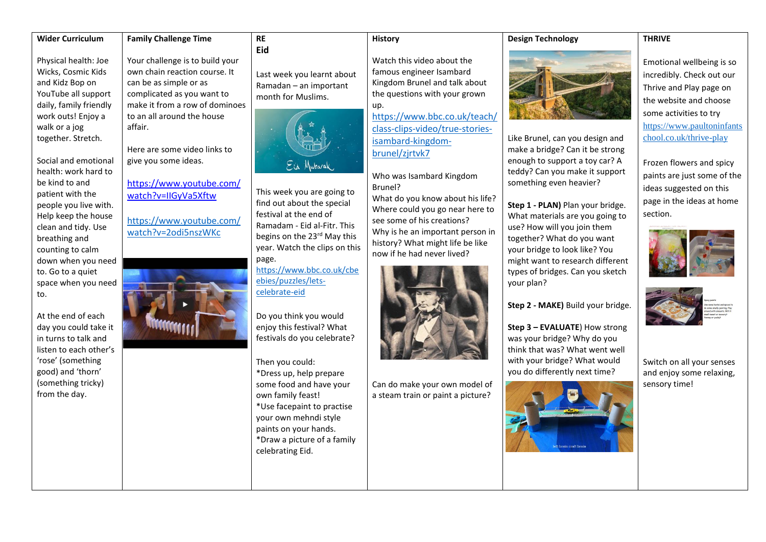## **Wider Curriculum**

# **Family Challenge Time**

Physical health: Joe Wicks, Cosmic Kids and Kidz Bop on YouTube all support daily, family friendly work outs! Enjoy a walk or a jog together. Stretch.

Social and emotional health: work hard to be kind to and patient with the people you live with. Help keep the house clean and tidy. Use breathing and counting to calm down when you need to. Go to a quiet space when you need to.

At the end of each day you could take it in turns to talk and listen to each other's 'rose' (something good) and 'thorn' (something tricky) from the day.

Your challenge is to build your own chain reaction course. It can be as simple or as complicated as you want to make it from a row of dominoes to an all around the house affair.

Here are some video links to give you some ideas.

# [https://www.youtube.com/](https://www.youtube.com/watch?v=IIGyVa5Xftw) [watch?v=IIGyVa5Xftw](https://www.youtube.com/watch?v=IIGyVa5Xftw)

[https://www.youtube.com/](https://www.youtube.com/watch?v=2odi5nszWKc) [watch?v=2odi5nszWKc](https://www.youtube.com/watch?v=2odi5nszWKc)



### **History**

Last week you learnt about Ramadan – an important month for Muslims.

**RE Eid**



This week you are going to find out about the special festival at the end of Ramadam - Eid al-Fitr. This begins on the 23<sup>rd</sup> May this year. Watch the clips on this page.

[https://www.bbc.co.uk/cbe](https://www.bbc.co.uk/cbeebies/puzzles/lets-celebrate-eid) [ebies/puzzles/lets](https://www.bbc.co.uk/cbeebies/puzzles/lets-celebrate-eid)[celebrate-eid](https://www.bbc.co.uk/cbeebies/puzzles/lets-celebrate-eid)

Do you think you would enjoy this festival? What festivals do you celebrate?

Then you could: \*Dress up, help prepare some food and have your own family feast! \*Use facepaint to practise your own mehndi style paints on your hands. \*Draw a picture of a family celebrating Eid.

Watch this video about the famous engineer Isambard Kingdom Brunel and talk about the questions with your grown up.

[https://www.bbc.co.uk/teach/](https://www.bbc.co.uk/teach/class-clips-video/true-stories-isambard-kingdom-brunel/zjrtvk7) [class-clips-video/true-stories](https://www.bbc.co.uk/teach/class-clips-video/true-stories-isambard-kingdom-brunel/zjrtvk7)[isambard-kingdom](https://www.bbc.co.uk/teach/class-clips-video/true-stories-isambard-kingdom-brunel/zjrtvk7)[brunel/zjrtvk7](https://www.bbc.co.uk/teach/class-clips-video/true-stories-isambard-kingdom-brunel/zjrtvk7)

Who was Isambard Kingdom Brunel?

What do you know about his life? Where could you go near here to see some of his creations? Why is he an important person in history? What might life be like now if he had never lived?



Can do make your own model of a steam train or paint a picture?



**Design Technology**

Like Brunel, can you design and make a bridge? Can it be strong enough to support a toy car? A teddy? Can you make it support something even heavier?

**Step 1 - PLAN)** Plan your bridge. What materials are you going to use? How will you join them together? What do you want your bridge to look like? You might want to research different types of bridges. Can you sketch your plan?

**Step 2 - MAKE)** Build your bridge.

**Step 3 – EVALUATE**) How strong was your bridge? Why do you think that was? What went well with your bridge? What would you do differently next time?



**THRIVE**

Emotional wellbeing is so incredibly. Check out our Thrive and Play page on the website and choose some activities to try [https://www.paultoninfants](https://www.paultoninfantschool.co.uk/thrive-play) [chool.co.uk/thrive-play](https://www.paultoninfantschool.co.uk/thrive-play)

Frozen flowers and spicy paints are just some of the ideas suggested on this page in the ideas at home section.





Switch on all your senses and enjoy some relaxing, sensory time!